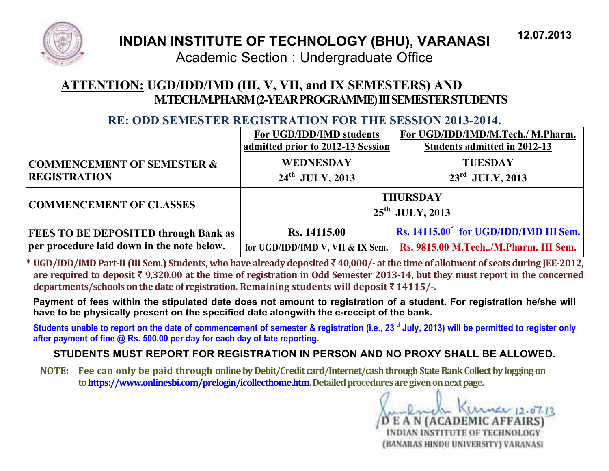

# **INDIAN INSTITUTE OF TECHNOLOGY (BHU), VARANASI**

Academic Section : Undergraduate Office

# ATTENTION: UGD/IDD/IMD (III, V, VII, and IX SEMESTERS) AND M.TECH/M.PHARM (2-YEAR PROGRAMME) III SEMESTER STUDENTS

## **RE: ODD SEMESTER REGISTRATION FOR THE SESSION 2013-2014.**

|                                             | For UGD/IDD/IMD students<br>admitted prior to 2012-13 Session | For UGD/IDD/IMD/M.Tech./ M.Pharm.<br>Students admitted in 2012-13 |
|---------------------------------------------|---------------------------------------------------------------|-------------------------------------------------------------------|
| <b>COMMENCEMENT OF SEMESTER &amp;</b>       | <b>WEDNESDAY</b>                                              | <b>TUESDAY</b>                                                    |
| <b>REGISTRATION</b>                         | $24^{\text{th}}$ JULY, 2013                                   | $23^{\rm rd}$ JULY, 2013                                          |
| <b>COMMENCEMENT OF CLASSES</b>              |                                                               | <b>THURSDAY</b><br>$25^{\text{th}}$ JULY, 2013                    |
| <b>FEES TO BE DEPOSITED through Bank as</b> | Rs. 14115.00                                                  | Rs. 14115.00 <sup>*</sup> for UGD/IDD/IMD III Sem.                |
| per procedure laid down in the note below.  | for UGD/IDD/IMD V, VII & IX Sem.                              | Rs. 9815.00 M.Tech,./M.Pharm. III Sem.                            |

\* UGD/IDD/IMD Part-II (III Sem.) Students, who have already deposited ₹40,000/- at the time of allotment of seats during JEE-2012, are required to deposit ₹ 9,320.00 at the time of registration in Odd Semester 2013-14, but they must report in the concerned departments/schools on the date of registration. Remaining students will deposit  $\bar{z}$  14115/-.

Payment of fees within the stipulated date does not amount to registration of a student. For registration he/she will have to be physically present on the specified date alongwith the e-receipt of the bank.

Students unable to report on the date of commencement of semester & registration (i.e., 23<sup>rd</sup> July, 2013) will be permitted to register only after payment of fine @ Rs. 500.00 per day for each day of late reporting.

## STUDENTS MUST REPORT FOR REGISTRATION IN PERSON AND NO PROXY SHALL BE ALLOWED.

NOTE: Fee can only be paid through online by Debit/Credit card/Internet/cash through State Bank Collect by logging on to https://www.onlinesbi.com/prelogin/icollecthome.htm. Detailed procedures are given on next page.

E A N (ACADEMIC AFFAIRS) INDIAN INSTITUTE OF TECHNOLOGY (BANARAS HINDU UNIVERSITY) VARANASI

12.07.2013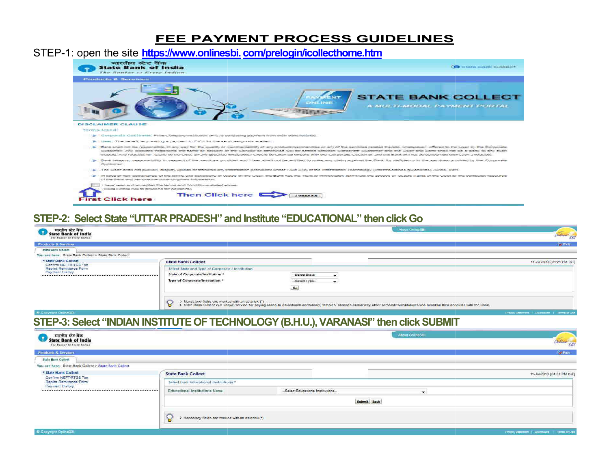#### **FEE PAYMENT PROCESS GUIDELINES**

#### STEP-1: open the site https://www.onlinesbi.com/prelogin/icollecthome.htm



#### STEP-2: Select State "UTTAR PRADESH" and Institute "EDUCATIONAL" then click Go

**First Click here** 

|                                                                                                          |                                                         | About OnlineSBI                                                                                                                                                                                |                                                |
|----------------------------------------------------------------------------------------------------------|---------------------------------------------------------|------------------------------------------------------------------------------------------------------------------------------------------------------------------------------------------------|------------------------------------------------|
| <b>State Bank of India</b><br>The Banker to Peery Indian                                                 |                                                         |                                                                                                                                                                                                | Deliver SEI                                    |
| <b>Products &amp; Services</b>                                                                           |                                                         |                                                                                                                                                                                                | <b>Fee Exit</b>                                |
| <b>State Bank Collect</b>                                                                                |                                                         |                                                                                                                                                                                                |                                                |
| You are here: State Bank Collect > State Bank Collect                                                    |                                                         |                                                                                                                                                                                                |                                                |
| * State Bank Collect                                                                                     | <b>State Bank Collect</b>                               |                                                                                                                                                                                                | 11-Jul-2013 (04:24 PM IST)                     |
| Confirm NEFT/RTGS Txn<br>Reprint Remittance Form                                                         | Select State and Type of Corporate / Institution        |                                                                                                                                                                                                |                                                |
| <b>Payment History</b><br>******************                                                             | State of Corporate/Institution *                        | -Select State-<br>$\rightarrow$                                                                                                                                                                |                                                |
|                                                                                                          | Type of Corporate/Institution *                         | -Select Type-<br>۰                                                                                                                                                                             |                                                |
|                                                                                                          |                                                         | Go                                                                                                                                                                                             |                                                |
|                                                                                                          | > Mandatory fields are marked with an asterisk (*)<br>8 | > State Bank Collect is a unique service for paying online to educational institutions, temples, charities and/or any other corporates/institutions who maintain their accounts with the Bank, |                                                |
| G.Copyright OnlineSBI                                                                                    |                                                         |                                                                                                                                                                                                | Privacy Statement   Discretaria   Terms of Use |
| भारतीय स्टेट बैंक<br>State Bank of India<br>The Bunker to Feery Indian<br><b>Products &amp; Services</b> |                                                         |                                                                                                                                                                                                | Ordine SB                                      |
|                                                                                                          |                                                         |                                                                                                                                                                                                |                                                |
|                                                                                                          |                                                         |                                                                                                                                                                                                | <b>BRENT</b>                                   |
| <b>State Bank Collect</b>                                                                                |                                                         |                                                                                                                                                                                                |                                                |
| You are here: State Bank Collect > State Bank Collect                                                    |                                                         |                                                                                                                                                                                                |                                                |
| * State Bank Collect                                                                                     | <b>State Bank Collect</b>                               |                                                                                                                                                                                                | 11-Jul-2013 [04:31 PM IST]                     |
| Confirm NEFT/RTGS Txn<br>Raprint Ramittance Form                                                         | Select from Educational Institutions *                  |                                                                                                                                                                                                |                                                |
| <b>Payment History</b>                                                                                   | Educational Institutions Name                           | -Select Educational Institutions-<br>÷                                                                                                                                                         |                                                |
|                                                                                                          |                                                         | Submit Back                                                                                                                                                                                    |                                                |
|                                                                                                          | Mandatory fields are marked with an asterisk (*)        |                                                                                                                                                                                                |                                                |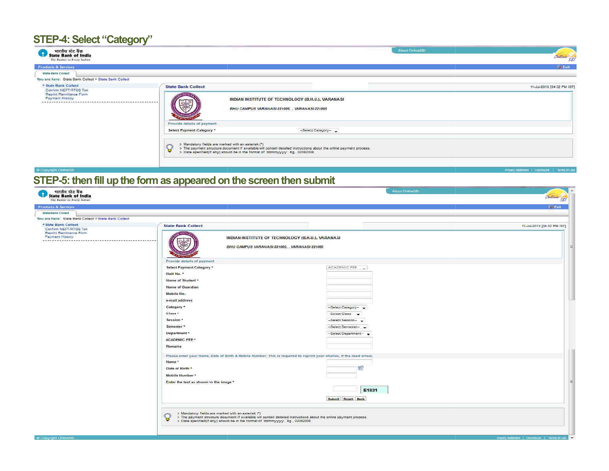# **STEP-4: Select "Category"**

| भारतीय स्टेट बैंक<br>State Bank of India<br>The Banker to Every Indian                             |                                                                                                               |                                                                                                                                                                                                                           | About Order SEL | Order SBI                  |
|----------------------------------------------------------------------------------------------------|---------------------------------------------------------------------------------------------------------------|---------------------------------------------------------------------------------------------------------------------------------------------------------------------------------------------------------------------------|-----------------|----------------------------|
| Products & Services                                                                                |                                                                                                               |                                                                                                                                                                                                                           |                 | <b>By Eart</b>             |
| <b>State Bank Collect</b>                                                                          |                                                                                                               |                                                                                                                                                                                                                           |                 |                            |
| You are here: State Bank Collect > State Bank Collect                                              |                                                                                                               |                                                                                                                                                                                                                           |                 |                            |
| * State Bank Collect<br>Confirm NEFT/RTGS Txn<br>Reprint Remittance Form<br><b>Payment History</b> | <b>State Bank Collect</b>                                                                                     | INDIAN INSTITUTE OF TECHNOLOGY (B.H.U.), VARANASI<br>BHU CAMPUS VARANASI-221005. VARANASI-221005                                                                                                                          |                 | 11-Jul-2013 [04:32 PM IST] |
|                                                                                                    | Provide details of payment<br>Select Payment Category *<br>> Mandatory fields are marked with an asteriak (*) | -Select Category-<br>> The payment structure document if available will contain detailed instructions about the online payment process.<br>> Date specified(if any) should be in the format of 'ddmmyyyyy', Eg., 02082008 |                 |                            |

#### **E Capyright Collins St** STEP-5: then fill up the form as appeared on the screen then submit

| भारतीय स्टेट बैंक<br>State Bank of India                                                    |                                                                                                                                                                                                                                                                | About C=line S31                                  |                                       |
|---------------------------------------------------------------------------------------------|----------------------------------------------------------------------------------------------------------------------------------------------------------------------------------------------------------------------------------------------------------------|---------------------------------------------------|---------------------------------------|
| The Banker or Every Indian                                                                  |                                                                                                                                                                                                                                                                |                                                   | Online SBI                            |
| <b>Products &amp; Services</b>                                                              |                                                                                                                                                                                                                                                                |                                                   | <b>Bellem</b>                         |
| <b>State Bank Collect</b>                                                                   |                                                                                                                                                                                                                                                                |                                                   |                                       |
| You are here: State Bank Collect > State Bank Collect                                       |                                                                                                                                                                                                                                                                |                                                   |                                       |
| * State Bank Collect<br>Confirm NEFT/RTGS Txn<br>Reprint Remittance Form<br>Payment History | <b>State Bank Collect</b>                                                                                                                                                                                                                                      | INDIAN INSTITUTE OF TECHNOLOGY (B.H.U.), VARANASI | 11-Jul-2013 [04:32 PM (ST)            |
|                                                                                             | BHU CAMPUS VARANASI-221005, VARANASI-221005<br>Provide details of payment                                                                                                                                                                                      |                                                   |                                       |
|                                                                                             | Select Payment Category *                                                                                                                                                                                                                                      | ACADEMIC FEE                                      |                                       |
|                                                                                             | Roll No. *                                                                                                                                                                                                                                                     |                                                   |                                       |
|                                                                                             | Name of Student *                                                                                                                                                                                                                                              |                                                   |                                       |
|                                                                                             | Name of Guardian                                                                                                                                                                                                                                               |                                                   |                                       |
|                                                                                             | Mobile No.                                                                                                                                                                                                                                                     |                                                   |                                       |
|                                                                                             | e-mail address                                                                                                                                                                                                                                                 |                                                   |                                       |
|                                                                                             | Category *                                                                                                                                                                                                                                                     | -Select Category-                                 |                                       |
|                                                                                             | Class *                                                                                                                                                                                                                                                        | Select Class -                                    |                                       |
|                                                                                             | Session *                                                                                                                                                                                                                                                      | -Select Session-                                  |                                       |
|                                                                                             | Semester *                                                                                                                                                                                                                                                     |                                                   |                                       |
|                                                                                             |                                                                                                                                                                                                                                                                | -Select Semester-                                 |                                       |
|                                                                                             | Department *                                                                                                                                                                                                                                                   | -Select Department-                               |                                       |
|                                                                                             | <b>ACADEMIC FEE *</b>                                                                                                                                                                                                                                          |                                                   |                                       |
|                                                                                             | Remarks                                                                                                                                                                                                                                                        |                                                   |                                       |
|                                                                                             | Please enter your Name, Date of Birth & Mobile Number. This is required to reprint your challan, if the need arises.                                                                                                                                           |                                                   |                                       |
|                                                                                             | Name *                                                                                                                                                                                                                                                         |                                                   |                                       |
|                                                                                             | Date of Birth *                                                                                                                                                                                                                                                | T.                                                |                                       |
|                                                                                             | Mobile Number*                                                                                                                                                                                                                                                 |                                                   |                                       |
|                                                                                             | Enter the text as shown in the image *                                                                                                                                                                                                                         |                                                   |                                       |
|                                                                                             |                                                                                                                                                                                                                                                                | E1831                                             |                                       |
|                                                                                             |                                                                                                                                                                                                                                                                |                                                   |                                       |
|                                                                                             |                                                                                                                                                                                                                                                                | Submit Reset Back                                 |                                       |
|                                                                                             |                                                                                                                                                                                                                                                                |                                                   |                                       |
|                                                                                             | > Mandatory fields are marked with an asterisk (*)<br>ទ<br>> The payment structure document if available will contain detailed instructions about the online payment process.<br>> Date specified(if any) should be in the format of 'ddmmyyyy'. Eg., 02082008 |                                                   |                                       |
|                                                                                             |                                                                                                                                                                                                                                                                |                                                   |                                       |
| E.C. became to Cleanis SALL                                                                 |                                                                                                                                                                                                                                                                |                                                   | <b>Delights School and Convention</b> |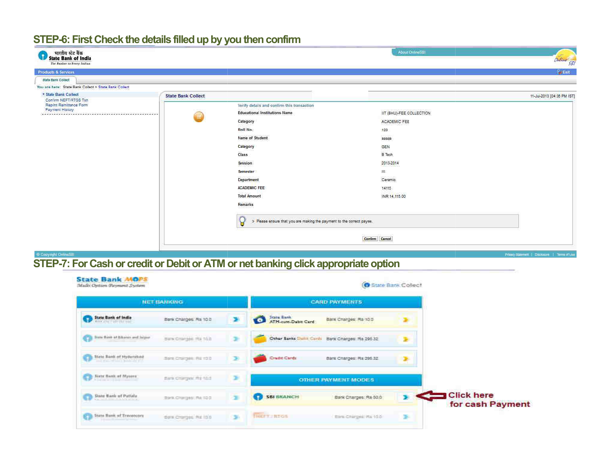## STEP-6: First Check the details filled up by you then confirm

| भारतीय स्टेट बैंक<br>State Bank of India<br>The Banker to Peery Indian |                           |                                                                            | About OnlineSBI          | Ordina <sup>1</sup> SEI                        |
|------------------------------------------------------------------------|---------------------------|----------------------------------------------------------------------------|--------------------------|------------------------------------------------|
| <b>Products &amp; Services</b>                                         |                           |                                                                            |                          | <b>Bull</b> am                                 |
| <b>State Bamk Collect</b>                                              |                           |                                                                            |                          |                                                |
| You are here: State Bank Collect > State Bank Collect                  |                           |                                                                            |                          |                                                |
| * State Bank Collect<br>Confirm NEFT/RTGS Txn                          | <b>State Bank Collect</b> |                                                                            |                          | 11-Jul-2013 (04:35 PM IST)                     |
| Reprint Remittance Form                                                |                           | Verify details and confirm this transaction                                |                          |                                                |
| <b>Payment History</b>                                                 | <b>Ind</b>                | <b>Educational Institutions Name</b>                                       | IIT (BHU)-FEE COLLECTION |                                                |
|                                                                        |                           | Category                                                                   | ACADEMIC FEE             |                                                |
|                                                                        |                           | Roll No.                                                                   | 123                      |                                                |
|                                                                        |                           | Name of Student                                                            | 2420424<br>33333         |                                                |
|                                                                        |                           | Category                                                                   | GEN                      |                                                |
|                                                                        |                           | Class                                                                      | <b>B</b> Teph            |                                                |
|                                                                        |                           | Session                                                                    | 2013-2014                |                                                |
|                                                                        |                           | Semester                                                                   | 30.                      |                                                |
|                                                                        |                           | Department                                                                 | Ceramic                  |                                                |
|                                                                        |                           | <b>ACADEMIC FEE</b>                                                        | 14115                    |                                                |
|                                                                        |                           | <b>Total Amount</b>                                                        | INR 14, 115,00           |                                                |
|                                                                        |                           | Remarks                                                                    |                          |                                                |
|                                                                        |                           | Ъ<br>> Please ensure that you are making the payment to the correct payee. |                          |                                                |
|                                                                        |                           |                                                                            | Confirm Cancel           |                                                |
| <b>E Capyright OnlineSBI</b>                                           |                           |                                                                            |                          | Privary Statement   Disclosure   Terms of Lise |

# STEP-7: For Cash or credit or Debit or ATM or net banking click appropriate option

|                                 | <b>NET BANKING</b>    |               |                                       | <b>CARD PAYMENTS</b>                            |   |                                       |
|---------------------------------|-----------------------|---------------|---------------------------------------|-------------------------------------------------|---|---------------------------------------|
| <b>State Bank of India</b>      | Bark Charges Rs 100   | ×             | State Rank<br>o<br>ATM-cum-Debit Card | Bank Charges: Ra 100                            |   |                                       |
| free field of Shaney and higher | Bark Cranjels Rx 10.0 | ÷             |                                       | Other Banks Cleme Cards Bank Charges: Re 296.32 |   |                                       |
| State Bank of Hydershad         | Back Cranges, RE100   | $\mathcal{D}$ | Cradit Cards                          | Bank Charges: Ra 295.32                         |   |                                       |
| <b>Birtz Bunk of Mycore</b>     | Bara Chargest Rd 10.1 | ×             |                                       | <b>OTHER PAYMENT MODES</b>                      |   |                                       |
| State Bank of Patisla           | Bara Chargest RA 10 0 | ×             | <b>SBI BRANCH</b>                     | Bark Charges: Rs 50.0                           |   | <b>Click here</b><br>for cash Payment |
| State Bank of Trecessors        | day Croger Re 100     | ×             | <b>THEFT RIGS</b>                     | third Charges Ha 10.5                           | × |                                       |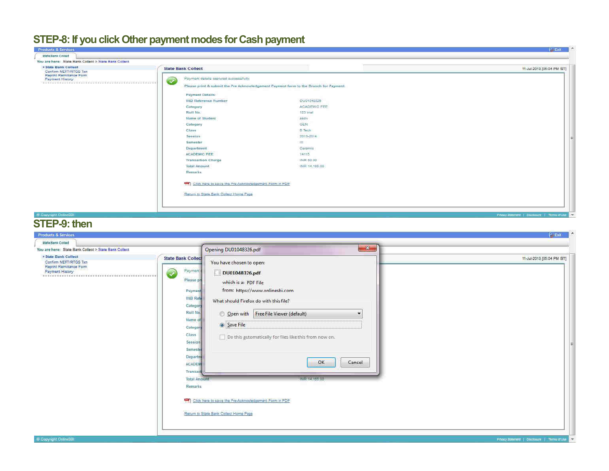#### STEP-8: If you click Other payment modes for Cash payment